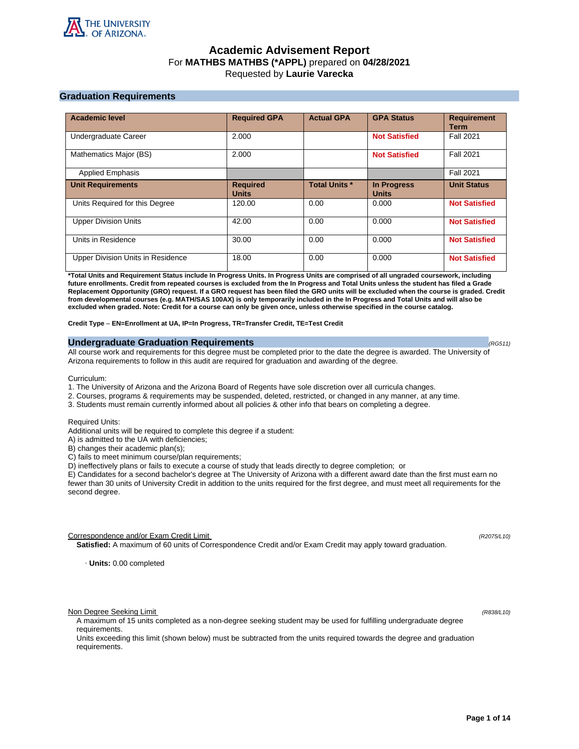

# **Academic Advisement Report** For **MATHBS MATHBS (\*APPL)** prepared on **04/28/2021** Requested by **Laurie Varecka**

# **Graduation Requirements**

| <b>Academic level</b>             | <b>Required GPA</b>             | <b>Actual GPA</b>    | <b>GPA Status</b>                  | <b>Requirement</b><br>Term |
|-----------------------------------|---------------------------------|----------------------|------------------------------------|----------------------------|
| Undergraduate Career              | 2.000                           |                      | <b>Not Satisfied</b>               | <b>Fall 2021</b>           |
| Mathematics Major (BS)            | 2.000                           |                      | <b>Not Satisfied</b>               | <b>Fall 2021</b>           |
| <b>Applied Emphasis</b>           |                                 |                      |                                    | <b>Fall 2021</b>           |
| <b>Unit Requirements</b>          | <b>Required</b><br><b>Units</b> | <b>Total Units *</b> | <b>In Progress</b><br><b>Units</b> | <b>Unit Status</b>         |
| Units Required for this Degree    | 120.00                          | 0.00                 | 0.000                              | <b>Not Satisfied</b>       |
| <b>Upper Division Units</b>       | 42.00                           | 0.00                 | 0.000                              | <b>Not Satisfied</b>       |
| Units in Residence                | 30.00                           | 0.00                 | 0.000                              | <b>Not Satisfied</b>       |
| Upper Division Units in Residence | 18.00                           | 0.00                 | 0.000                              | <b>Not Satisfied</b>       |

**\*Total Units and Requirement Status include In Progress Units. In Progress Units are comprised of all ungraded coursework, including future enrollments. Credit from repeated courses is excluded from the In Progress and Total Units unless the student has filed a Grade Replacement Opportunity (GRO) request. If a GRO request has been filed the GRO units will be excluded when the course is graded. Credit from developmental courses (e.g. MATH/SAS 100AX) is only temporarily included in the In Progress and Total Units and will also be excluded when graded. Note: Credit for a course can only be given once, unless otherwise specified in the course catalog.**

**Credit Type** – **EN=Enrollment at UA, IP=In Progress, TR=Transfer Credit, TE=Test Credit**

## **Undergraduate Graduation Requirements (RG511) (RG511) (RG511) (RG511)**

All course work and requirements for this degree must be completed prior to the date the degree is awarded. The University of Arizona requirements to follow in this audit are required for graduation and awarding of the degree.

Curriculum:

- 1. The University of Arizona and the Arizona Board of Regents have sole discretion over all curricula changes.
- 2. Courses, programs & requirements may be suspended, deleted, restricted, or changed in any manner, at any time.
- 3. Students must remain currently informed about all policies & other info that bears on completing a degree.

Required Units:

Additional units will be required to complete this degree if a student:

A) is admitted to the UA with deficiencies;

B) changes their academic plan(s);

C) fails to meet minimum course/plan requirements;

D) ineffectively plans or fails to execute a course of study that leads directly to degree completion; or

E) Candidates for a second bachelor's degree at The University of Arizona with a different award date than the first must earn no fewer than 30 units of University Credit in addition to the units required for the first degree, and must meet all requirements for the second degree.

Correspondence and/or Exam Credit Limit (R2075/L10) (R2075/L10)

**Satisfied:** A maximum of 60 units of Correspondence Credit and/or Exam Credit may apply toward graduation.

· **Units:** 0.00 completed

Non Degree Seeking Limit (R838/L10)

A maximum of 15 units completed as a non-degree seeking student may be used for fulfilling undergraduate degree requirements.

Units exceeding this limit (shown below) must be subtracted from the units required towards the degree and graduation requirements.

**Page 1 of 14**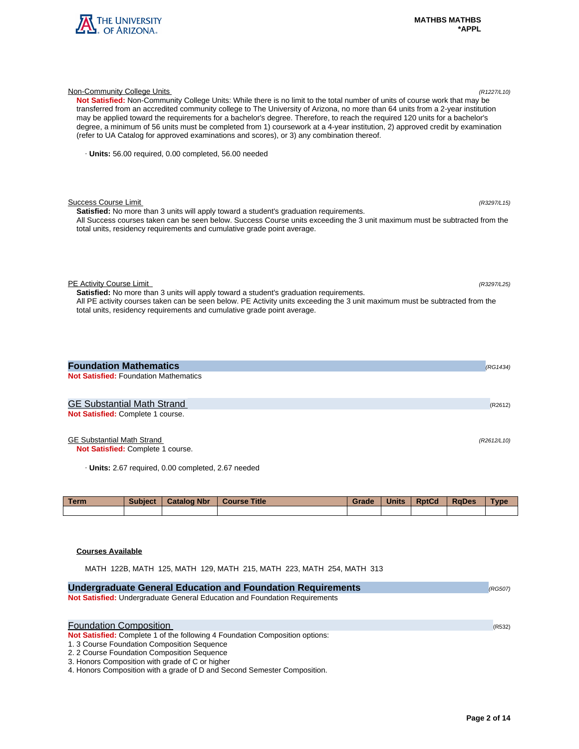

| Not Satisfied: Non-Community College Units: While there is no limit to the total number of units of course work that may be<br>transferred from an accredited community college to The University of Arizona, no more than 64 units from a 2-year institution<br>may be applied toward the requirements for a bachelor's degree. Therefore, to reach the required 120 units for a bachelor's<br>degree, a minimum of 56 units must be completed from 1) coursework at a 4-year institution, 2) approved credit by examination<br>(refer to UA Catalog for approved examinations and scores), or 3) any combination thereof. |  |
|-----------------------------------------------------------------------------------------------------------------------------------------------------------------------------------------------------------------------------------------------------------------------------------------------------------------------------------------------------------------------------------------------------------------------------------------------------------------------------------------------------------------------------------------------------------------------------------------------------------------------------|--|
| Units: 56.00 required, 0.00 completed, 56.00 needed                                                                                                                                                                                                                                                                                                                                                                                                                                                                                                                                                                         |  |
| Success Course Limit<br>(R3297/L15)<br><b>Satisfied:</b> No more than 3 units will apply toward a student's graduation requirements.<br>All Success courses taken can be seen below. Success Course units exceeding the 3 unit maximum must be subtracted from the<br>total units, residency requirements and cumulative grade point average.                                                                                                                                                                                                                                                                               |  |
| PE Activity Course Limit<br>(R3297/L25)<br><b>Satisfied:</b> No more than 3 units will apply toward a student's graduation requirements.<br>All PE activity courses taken can be seen below. PE Activity units exceeding the 3 unit maximum must be subtracted from the<br>total units, residency requirements and cumulative grade point average.                                                                                                                                                                                                                                                                          |  |
| <b>Foundation Mathematics</b><br>(RG1434)<br><b>Not Satisfied: Foundation Mathematics</b>                                                                                                                                                                                                                                                                                                                                                                                                                                                                                                                                   |  |
| <b>GE Substantial Math Strand</b><br>(R2612)<br>Not Satisfied: Complete 1 course.                                                                                                                                                                                                                                                                                                                                                                                                                                                                                                                                           |  |

Non-Community College Units (R1227/L10)

# GE Substantial Math Strand (R2612/L10)

**Not Satisfied:** Complete 1 course.

· **Units:** 2.67 required, 0.00 completed, 2.67 needed

| <b>Term</b> | <b>Subject</b> | <b>Catalog Nbr</b> | <b>Course Title</b> | Grade | <b>Units</b> | <b>RptCd</b> | <b>RaDes</b> | <b>Type</b> |
|-------------|----------------|--------------------|---------------------|-------|--------------|--------------|--------------|-------------|
|             |                |                    |                     |       |              |              |              |             |

# **Courses Available**

MATH 122B, MATH 125, MATH 129, MATH 215, MATH 223, MATH 254, MATH 313

| <b>Undergraduate General Education and Foundation Requirements</b>           | (RG507) |
|------------------------------------------------------------------------------|---------|
| Not Satisfied: Undergraduate General Education and Foundation Requirements   |         |
|                                                                              |         |
| <b>Foundation Composition</b>                                                | (R532)  |
| Not Satisfied: Complete 1 of the following 4 Foundation Composition options: |         |
| 1.3 Course Foundation Composition Sequence                                   |         |
| 2. 2 Course Foundation Composition Sequence                                  |         |
| 3. Honors Composition with grade of C or higher                              |         |
| 4. Honors Composition with a grade of D and Second Semester Composition.     |         |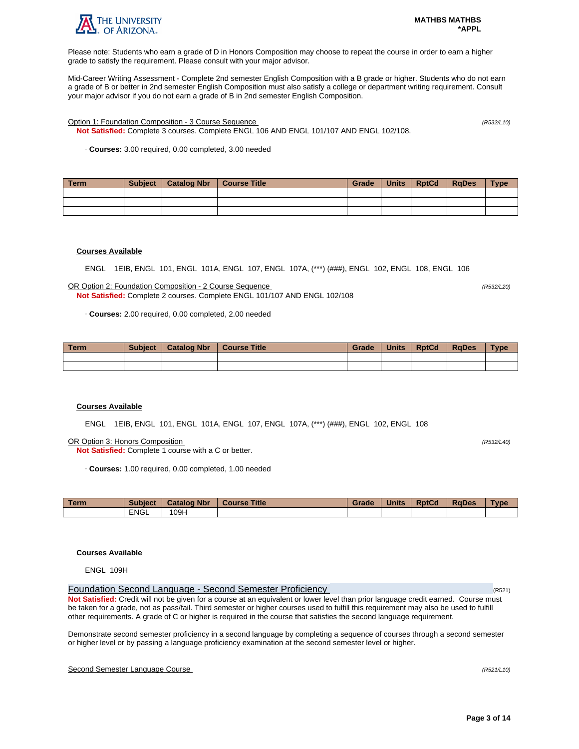

Please note: Students who earn a grade of D in Honors Composition may choose to repeat the course in order to earn a higher grade to satisfy the requirement. Please consult with your major advisor.

Mid-Career Writing Assessment - Complete 2nd semester English Composition with a B grade or higher. Students who do not earn a grade of B or better in 2nd semester English Composition must also satisfy a college or department writing requirement. Consult your major advisor if you do not earn a grade of B in 2nd semester English Composition.

Option 1: Foundation Composition - 3 Course Sequence (R532/L10)

**Not Satisfied:** Complete 3 courses. Complete ENGL 106 AND ENGL 101/107 AND ENGL 102/108.

· **Courses:** 3.00 required, 0.00 completed, 3.00 needed

| Term | <b>Subject</b> | Catalog Nbr | Course Title | Grade | Units | <b>RptCd</b> | <b>RaDes</b> | <b>Type</b> |
|------|----------------|-------------|--------------|-------|-------|--------------|--------------|-------------|
|      |                |             |              |       |       |              |              |             |
|      |                |             |              |       |       |              |              |             |
|      |                |             |              |       |       |              |              |             |

# **Courses Available**

ENGL 1EIB, ENGL 101, ENGL 101A, ENGL 107, ENGL 107A, (\*\*\*) (###), ENGL 102, ENGL 108, ENGL 106

OR Option 2: Foundation Composition - 2 Course Sequence (R532/L20) **Not Satisfied:** Complete 2 courses. Complete ENGL 101/107 AND ENGL 102/108

· **Courses:** 2.00 required, 0.00 completed, 2.00 needed

| <b>Term</b> | <b>Subject</b> | <b>Catalog Nbr</b> | <b>Course Title</b> | Grade | <b>Units</b> | <b>RptCd</b> | <b>RaDes</b> | <b>Type</b> |
|-------------|----------------|--------------------|---------------------|-------|--------------|--------------|--------------|-------------|
|             |                |                    |                     |       |              |              |              |             |
|             |                |                    |                     |       |              |              |              |             |

### **Courses Available**

ENGL 1EIB, ENGL 101, ENGL 101A, ENGL 107, ENGL 107A, (\*\*\*) (###), ENGL 102, ENGL 108

OR Option 3: Honors Composition (R532/L40)

**Not Satisfied:** Complete 1 course with a C or better.

· **Courses:** 1.00 required, 0.00 completed, 1.00 needed

| <b>Term</b> | <b>Subject</b> | <b>Catalog Nbr</b> | <b>Course Title</b> | Grade | <b>Units</b> | <b>RptCd</b> | <b>RaDes</b> | Type |
|-------------|----------------|--------------------|---------------------|-------|--------------|--------------|--------------|------|
|             | <b>ENGL</b>    | 109H               |                     |       |              |              |              |      |

# **Courses Available**

ENGL 109H

Foundation Second Language - Second Semester Proficiency (R521) **Not Satisfied:** Credit will not be given for a course at an equivalent or lower level than prior language credit earned. Course must be taken for a grade, not as pass/fail. Third semester or higher courses used to fulfill this requirement may also be used to fulfill other requirements. A grade of C or higher is required in the course that satisfies the second language requirement.

Demonstrate second semester proficiency in a second language by completing a sequence of courses through a second semester or higher level or by passing a language proficiency examination at the second semester level or higher.

## Second Semester Language Course (R521/L10)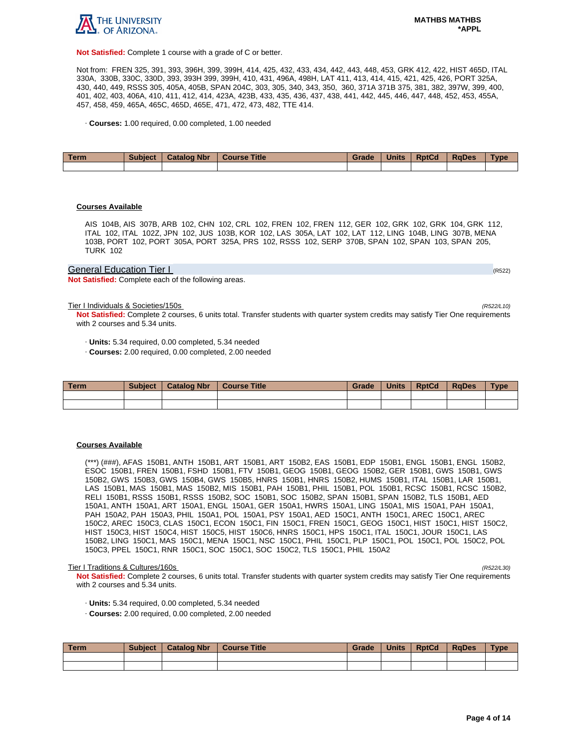

**Not Satisfied:** Complete 1 course with a grade of C or better.

Not from: FREN 325, 391, 393, 396H, 399, 399H, 414, 425, 432, 433, 434, 442, 443, 448, 453, GRK 412, 422, HIST 465D, ITAL 330A, 330B, 330C, 330D, 393, 393H 399, 399H, 410, 431, 496A, 498H, LAT 411, 413, 414, 415, 421, 425, 426, PORT 325A, 430, 440, 449, RSSS 305, 405A, 405B, SPAN 204C, 303, 305, 340, 343, 350, 360, 371A 371B 375, 381, 382, 397W, 399, 400, 401, 402, 403, 406A, 410, 411, 412, 414, 423A, 423B, 433, 435, 436, 437, 438, 441, 442, 445, 446, 447, 448, 452, 453, 455A, 457, 458, 459, 465A, 465C, 465D, 465E, 471, 472, 473, 482, TTE 414.

· **Courses:** 1.00 required, 0.00 completed, 1.00 needed

| Term | <b>Subject</b> | <b>Catalog Nbr</b> | <b>Course Title</b> | Grade | <b>Units</b> | <b>RptCd</b> | <b>RaDes</b> | <b>Type</b> |
|------|----------------|--------------------|---------------------|-------|--------------|--------------|--------------|-------------|
|      |                |                    |                     |       |              |              |              |             |

### **Courses Available**

AIS 104B, AIS 307B, ARB 102, CHN 102, CRL 102, FREN 102, FREN 112, GER 102, GRK 102, GRK 104, GRK 112, ITAL 102, ITAL 102Z, JPN 102, JUS 103B, KOR 102, LAS 305A, LAT 102, LAT 112, LING 104B, LING 307B, MENA 103B, PORT 102, PORT 305A, PORT 325A, PRS 102, RSSS 102, SERP 370B, SPAN 102, SPAN 103, SPAN 205, TURK 102

## General Education Tier I (RS22) And The Contract of the Contract of the Contract of the Contract of the Contract of the Contract of the Contract of the Contract of the Contract of the Contract of the Contract of the Contra

**Not Satisfied:** Complete each of the following areas.

Tier I Individuals & Societies/150s (R522/L10)

**Not Satisfied:** Complete 2 courses, 6 units total. Transfer students with quarter system credits may satisfy Tier One requirements with 2 courses and 5.34 units.

· **Units:** 5.34 required, 0.00 completed, 5.34 needed

· **Courses:** 2.00 required, 0.00 completed, 2.00 needed

| Term | <b>Subject</b> | <b>Catalog Nbr</b> | <b>Course Title</b> | Grade | <b>Units</b> | <b>RptCd</b> | <b>RaDes</b> | Type |
|------|----------------|--------------------|---------------------|-------|--------------|--------------|--------------|------|
|      |                |                    |                     |       |              |              |              |      |
|      |                |                    |                     |       |              |              |              |      |

#### **Courses Available**

(\*\*\*) (###), AFAS 150B1, ANTH 150B1, ART 150B1, ART 150B2, EAS 150B1, EDP 150B1, ENGL 150B1, ENGL 150B2, ESOC 150B1, FREN 150B1, FSHD 150B1, FTV 150B1, GEOG 150B1, GEOG 150B2, GER 150B1, GWS 150B1, GWS 150B2, GWS 150B3, GWS 150B4, GWS 150B5, HNRS 150B1, HNRS 150B2, HUMS 150B1, ITAL 150B1, LAR 150B1, LAS 150B1, MAS 150B1, MAS 150B2, MIS 150B1, PAH 150B1, PHIL 150B1, POL 150B1, RCSC 150B1, RCSC 150B2, RELI 150B1, RSSS 150B1, RSSS 150B2, SOC 150B1, SOC 150B2, SPAN 150B1, SPAN 150B2, TLS 150B1, AED 150A1, ANTH 150A1, ART 150A1, ENGL 150A1, GER 150A1, HWRS 150A1, LING 150A1, MIS 150A1, PAH 150A1, PAH 150A2, PAH 150A3, PHIL 150A1, POL 150A1, PSY 150A1, AED 150C1, ANTH 150C1, AREC 150C1, AREC 150C2, AREC 150C3, CLAS 150C1, ECON 150C1, FIN 150C1, FREN 150C1, GEOG 150C1, HIST 150C1, HIST 150C2, HIST 150C3, HIST 150C4, HIST 150C5, HIST 150C6, HNRS 150C1, HPS 150C1, ITAL 150C1, JOUR 150C1, LAS 150B2, LING 150C1, MAS 150C1, MENA 150C1, NSC 150C1, PHIL 150C1, PLP 150C1, POL 150C1, POL 150C2, POL 150C3, PPEL 150C1, RNR 150C1, SOC 150C1, SOC 150C2, TLS 150C1, PHIL 150A2

#### Tier I Traditions & Cultures/160s (R522/L30)

**Not Satisfied:** Complete 2 courses, 6 units total. Transfer students with quarter system credits may satisfy Tier One requirements with 2 courses and 5.34 units.

- · **Units:** 5.34 required, 0.00 completed, 5.34 needed
- · **Courses:** 2.00 required, 0.00 completed, 2.00 needed

| Term | <b>Subject</b> | Catalog Nbr   Course Title | Grade | Units | <b>RptCd</b> | RaDes | <b>Type</b> |
|------|----------------|----------------------------|-------|-------|--------------|-------|-------------|
|      |                |                            |       |       |              |       |             |
|      |                |                            |       |       |              |       |             |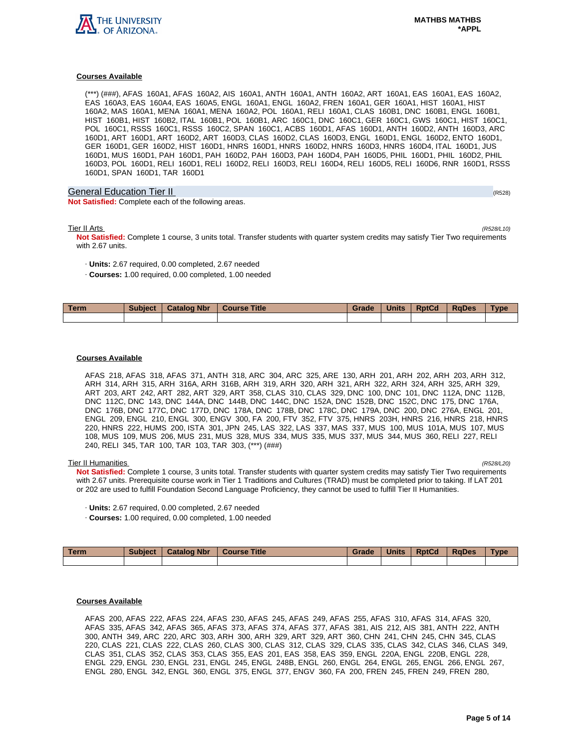

(\*\*\*) (###), AFAS 160A1, AFAS 160A2, AIS 160A1, ANTH 160A1, ANTH 160A2, ART 160A1, EAS 160A1, EAS 160A2, EAS 160A3, EAS 160A4, EAS 160A5, ENGL 160A1, ENGL 160A2, FREN 160A1, GER 160A1, HIST 160A1, HIST 160A2, MAS 160A1, MENA 160A1, MENA 160A2, POL 160A1, RELI 160A1, CLAS 160B1, DNC 160B1, ENGL 160B1, HIST 160B1, HIST 160B2, ITAL 160B1, POL 160B1, ARC 160C1, DNC 160C1, GER 160C1, GWS 160C1, HIST 160C1, POL 160C1, RSSS 160C1, RSSS 160C2, SPAN 160C1, ACBS 160D1, AFAS 160D1, ANTH 160D2, ANTH 160D3, ARC 160D1, ART 160D1, ART 160D2, ART 160D3, CLAS 160D2, CLAS 160D3, ENGL 160D1, ENGL 160D2, ENTO 160D1, GER 160D1, GER 160D2, HIST 160D1, HNRS 160D1, HNRS 160D2, HNRS 160D3, HNRS 160D4, ITAL 160D1, JUS 160D1, MUS 160D1, PAH 160D1, PAH 160D2, PAH 160D3, PAH 160D4, PAH 160D5, PHIL 160D1, PHIL 160D2, PHIL 160D3, POL 160D1, RELI 160D1, RELI 160D2, RELI 160D3, RELI 160D4, RELI 160D5, RELI 160D6, RNR 160D1, RSSS 160D1, SPAN 160D1, TAR 160D1

# General Education Tier II (R528) (R528) (R528) (R528) (R528) (R528) (R528) (R528)

**Not Satisfied:** Complete each of the following areas.

Tier II Arts (R528/L10)

**Not Satisfied:** Complete 1 course, 3 units total. Transfer students with quarter system credits may satisfy Tier Two requirements with 2.67 units.

- · **Units:** 2.67 required, 0.00 completed, 2.67 needed
- · **Courses:** 1.00 required, 0.00 completed, 1.00 needed

| <b>Term</b> | <b>Subject</b> | <b>Catalog Nbr</b> | <b>Title</b><br><b>Course</b> | Grade | <b>Units</b> | <b>RptCd</b> | <b>RaDes</b> | Type |
|-------------|----------------|--------------------|-------------------------------|-------|--------------|--------------|--------------|------|
|             |                |                    |                               |       |              |              |              |      |

## **Courses Available**

AFAS 218, AFAS 318, AFAS 371, ANTH 318, ARC 304, ARC 325, ARE 130, ARH 201, ARH 202, ARH 203, ARH 312, ARH 314, ARH 315, ARH 316A, ARH 316B, ARH 319, ARH 320, ARH 321, ARH 322, ARH 324, ARH 325, ARH 329, ART 203, ART 242, ART 282, ART 329, ART 358, CLAS 310, CLAS 329, DNC 100, DNC 101, DNC 112A, DNC 112B, DNC 112C, DNC 143, DNC 144A, DNC 144B, DNC 144C, DNC 152A, DNC 152B, DNC 152C, DNC 175, DNC 176A, DNC 176B, DNC 177C, DNC 177D, DNC 178A, DNC 178B, DNC 178C, DNC 179A, DNC 200, DNC 276A, ENGL 201, ENGL 209, ENGL 210, ENGL 300, ENGV 300, FA 200, FTV 352, FTV 375, HNRS 203H, HNRS 216, HNRS 218, HNRS 220, HNRS 222, HUMS 200, ISTA 301, JPN 245, LAS 322, LAS 337, MAS 337, MUS 100, MUS 101A, MUS 107, MUS 108, MUS 109, MUS 206, MUS 231, MUS 328, MUS 334, MUS 335, MUS 337, MUS 344, MUS 360, RELI 227, RELI 240, RELI 345, TAR 100, TAR 103, TAR 303, (\*\*\*) (###)

Tier II Humanities (R528/L20) **Not Satisfied:** Complete 1 course, 3 units total. Transfer students with quarter system credits may satisfy Tier Two requirements with 2.67 units. Prerequisite course work in Tier 1 Traditions and Cultures (TRAD) must be completed prior to taking. If LAT 201 or 202 are used to fulfill Foundation Second Language Proficiency, they cannot be used to fulfill Tier II Humanities.

- · **Units:** 2.67 required, 0.00 completed, 2.67 needed
- · **Courses:** 1.00 required, 0.00 completed, 1.00 needed

| Term | <b>Subject</b> | <b>Catalog Nbr</b> | <b>Course Title</b> | Grade | <b>Units</b> | <b>RptCd</b> | RaDes | <b>Type</b> |
|------|----------------|--------------------|---------------------|-------|--------------|--------------|-------|-------------|
|      |                |                    |                     |       |              |              |       |             |

# **Courses Available**

AFAS 200, AFAS 222, AFAS 224, AFAS 230, AFAS 245, AFAS 249, AFAS 255, AFAS 310, AFAS 314, AFAS 320, AFAS 335, AFAS 342, AFAS 365, AFAS 373, AFAS 374, AFAS 377, AFAS 381, AIS 212, AIS 381, ANTH 222, ANTH 300, ANTH 349, ARC 220, ARC 303, ARH 300, ARH 329, ART 329, ART 360, CHN 241, CHN 245, CHN 345, CLAS 220, CLAS 221, CLAS 222, CLAS 260, CLAS 300, CLAS 312, CLAS 329, CLAS 335, CLAS 342, CLAS 346, CLAS 349, CLAS 351, CLAS 352, CLAS 353, CLAS 355, EAS 201, EAS 358, EAS 359, ENGL 220A, ENGL 220B, ENGL 228, ENGL 229, ENGL 230, ENGL 231, ENGL 245, ENGL 248B, ENGL 260, ENGL 264, ENGL 265, ENGL 266, ENGL 267, ENGL 280, ENGL 342, ENGL 360, ENGL 375, ENGL 377, ENGV 360, FA 200, FREN 245, FREN 249, FREN 280,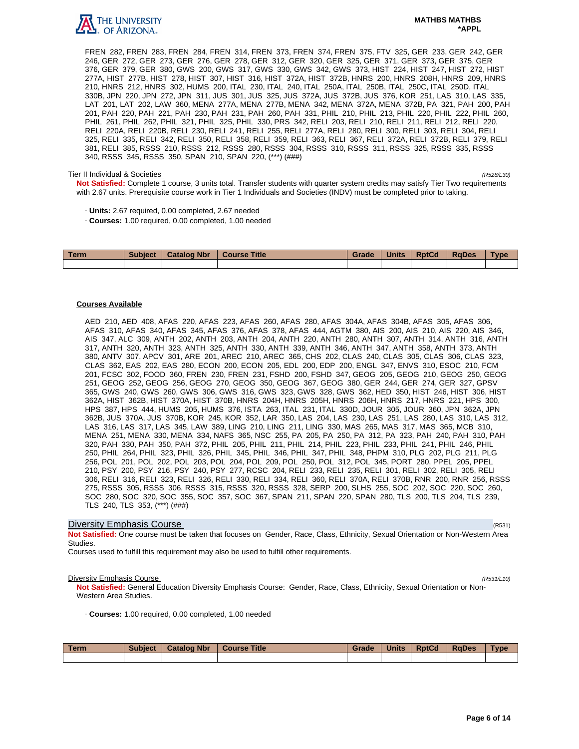

FREN 282, FREN 283, FREN 284, FREN 314, FREN 373, FREN 374, FREN 375, FTV 325, GER 233, GER 242, GER 246, GER 272, GER 273, GER 276, GER 278, GER 312, GER 320, GER 325, GER 371, GER 373, GER 375, GER 376, GER 379, GER 380, GWS 200, GWS 317, GWS 330, GWS 342, GWS 373, HIST 224, HIST 247, HIST 272, HIST 277A, HIST 277B, HIST 278, HIST 307, HIST 316, HIST 372A, HIST 372B, HNRS 200, HNRS 208H, HNRS 209, HNRS 210, HNRS 212, HNRS 302, HUMS 200, ITAL 230, ITAL 240, ITAL 250A, ITAL 250B, ITAL 250C, ITAL 250D, ITAL 330B, JPN 220, JPN 272, JPN 311, JUS 301, JUS 325, JUS 372A, JUS 372B, JUS 376, KOR 251, LAS 310, LAS 335, LAT 201, LAT 202, LAW 360, MENA 277A, MENA 277B, MENA 342, MENA 372A, MENA 372B, PA 321, PAH 200, PAH 201, PAH 220, PAH 221, PAH 230, PAH 231, PAH 260, PAH 331, PHIL 210, PHIL 213, PHIL 220, PHIL 222, PHIL 260, PHIL 261, PHIL 262, PHIL 321, PHIL 325, PHIL 330, PRS 342, RELI 203, RELI 210, RELI 211, RELI 212, RELI 220, RELI 220A, RELI 220B, RELI 230, RELI 241, RELI 255, RELI 277A, RELI 280, RELI 300, RELI 303, RELI 304, RELI 325, RELI 335, RELI 342, RELI 350, RELI 358, RELI 359, RELI 363, RELI 367, RELI 372A, RELI 372B, RELI 379, RELI 381, RELI 385, RSSS 210, RSSS 212, RSSS 280, RSSS 304, RSSS 310, RSSS 311, RSSS 325, RSSS 335, RSSS 340, RSSS 345, RSSS 350, SPAN 210, SPAN 220, (\*\*\*) (###)

#### Tier II Individual & Societies (R528/L30)

**Not Satisfied:** Complete 1 course, 3 units total. Transfer students with quarter system credits may satisfy Tier Two requirements with 2.67 units. Prerequisite course work in Tier 1 Individuals and Societies (INDV) must be completed prior to taking.

- · **Units:** 2.67 required, 0.00 completed, 2.67 needed
- · **Courses:** 1.00 required, 0.00 completed, 1.00 needed

| <b>Term</b> | <b>Subject</b> | <b>Catalog Nbr</b> | <b>Course Title</b> | Grade | <b>Units</b> | <b>RptCd</b> | <b>RaDes</b> | Type |
|-------------|----------------|--------------------|---------------------|-------|--------------|--------------|--------------|------|
|             |                |                    |                     |       |              |              |              |      |

#### **Courses Available**

AED 210, AED 408, AFAS 220, AFAS 223, AFAS 260, AFAS 280, AFAS 304A, AFAS 304B, AFAS 305, AFAS 306, AFAS 310, AFAS 340, AFAS 345, AFAS 376, AFAS 378, AFAS 444, AGTM 380, AIS 200, AIS 210, AIS 220, AIS 346, AIS 347, ALC 309, ANTH 202, ANTH 203, ANTH 204, ANTH 220, ANTH 280, ANTH 307, ANTH 314, ANTH 316, ANTH 317, ANTH 320, ANTH 323, ANTH 325, ANTH 330, ANTH 339, ANTH 346, ANTH 347, ANTH 358, ANTH 373, ANTH 380, ANTV 307, APCV 301, ARE 201, AREC 210, AREC 365, CHS 202, CLAS 240, CLAS 305, CLAS 306, CLAS 323, CLAS 362, EAS 202, EAS 280, ECON 200, ECON 205, EDL 200, EDP 200, ENGL 347, ENVS 310, ESOC 210, FCM 201, FCSC 302, FOOD 360, FREN 230, FREN 231, FSHD 200, FSHD 347, GEOG 205, GEOG 210, GEOG 250, GEOG 251, GEOG 252, GEOG 256, GEOG 270, GEOG 350, GEOG 367, GEOG 380, GER 244, GER 274, GER 327, GPSV 365, GWS 240, GWS 260, GWS 306, GWS 316, GWS 323, GWS 328, GWS 362, HED 350, HIST 246, HIST 306, HIST 362A, HIST 362B, HIST 370A, HIST 370B, HNRS 204H, HNRS 205H, HNRS 206H, HNRS 217, HNRS 221, HPS 300, HPS 387, HPS 444, HUMS 205, HUMS 376, ISTA 263, ITAL 231, ITAL 330D, JOUR 305, JOUR 360, JPN 362A, JPN 362B, JUS 370A, JUS 370B, KOR 245, KOR 352, LAR 350, LAS 204, LAS 230, LAS 251, LAS 280, LAS 310, LAS 312, LAS 316, LAS 317, LAS 345, LAW 389, LING 210, LING 211, LING 330, MAS 265, MAS 317, MAS 365, MCB 310, MENA 251, MENA 330, MENA 334, NAFS 365, NSC 255, PA 205, PA 250, PA 312, PA 323, PAH 240, PAH 310, PAH 320, PAH 330, PAH 350, PAH 372, PHIL 205, PHIL 211, PHIL 214, PHIL 223, PHIL 233, PHIL 241, PHIL 246, PHIL 250, PHIL 264, PHIL 323, PHIL 326, PHIL 345, PHIL 346, PHIL 347, PHIL 348, PHPM 310, PLG 202, PLG 211, PLG 256, POL 201, POL 202, POL 203, POL 204, POL 209, POL 250, POL 312, POL 345, PORT 280, PPEL 205, PPEL 210, PSY 200, PSY 216, PSY 240, PSY 277, RCSC 204, RELI 233, RELI 235, RELI 301, RELI 302, RELI 305, RELI 306, RELI 316, RELI 323, RELI 326, RELI 330, RELI 334, RELI 360, RELI 370A, RELI 370B, RNR 200, RNR 256, RSSS 275, RSSS 305, RSSS 306, RSSS 315, RSSS 320, RSSS 328, SERP 200, SLHS 255, SOC 202, SOC 220, SOC 260, SOC 280, SOC 320, SOC 355, SOC 357, SOC 367, SPAN 211, SPAN 220, SPAN 280, TLS 200, TLS 204, TLS 239, TLS 240, TLS 353, (\*\*\*) (###)

### **Diversity Emphasis Course** (R531) **Diversity Emphasis Course**

**Not Satisfied:** One course must be taken that focuses on Gender, Race, Class, Ethnicity, Sexual Orientation or Non-Western Area Studies.

Courses used to fulfill this requirement may also be used to fulfill other requirements.

#### **Diversity Emphasis Course** (R531/L10)

**Not Satisfied:** General Education Diversity Emphasis Course: Gender, Race, Class, Ethnicity, Sexual Orientation or Non-Western Area Studies.

· **Courses:** 1.00 required, 0.00 completed, 1.00 needed

| Term | <b>Subject</b> | <b>Catalog Nbr</b> | <b>Course Title</b> | Grade | <b>Units</b> | <b>RptCd</b> | <b>RaDes</b> | Type |
|------|----------------|--------------------|---------------------|-------|--------------|--------------|--------------|------|
|      |                |                    |                     |       |              |              |              |      |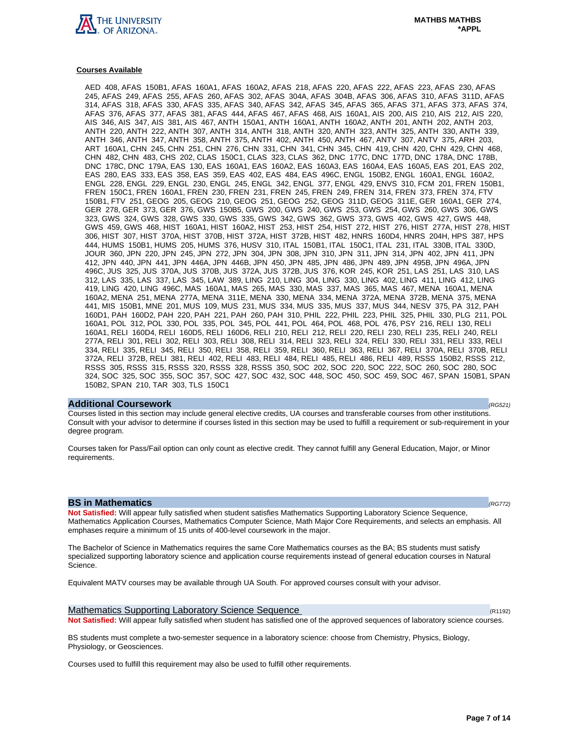

AED 408, AFAS 150B1, AFAS 160A1, AFAS 160A2, AFAS 218, AFAS 220, AFAS 222, AFAS 223, AFAS 230, AFAS 245, AFAS 249, AFAS 255, AFAS 260, AFAS 302, AFAS 304A, AFAS 304B, AFAS 306, AFAS 310, AFAS 311D, AFAS 314, AFAS 318, AFAS 330, AFAS 335, AFAS 340, AFAS 342, AFAS 345, AFAS 365, AFAS 371, AFAS 373, AFAS 374, AFAS 376, AFAS 377, AFAS 381, AFAS 444, AFAS 467, AFAS 468, AIS 160A1, AIS 200, AIS 210, AIS 212, AIS 220, AIS 346, AIS 347, AIS 381, AIS 467, ANTH 150A1, ANTH 160A1, ANTH 160A2, ANTH 201, ANTH 202, ANTH 203, ANTH 220, ANTH 222, ANTH 307, ANTH 314, ANTH 318, ANTH 320, ANTH 323, ANTH 325, ANTH 330, ANTH 339, ANTH 346, ANTH 347, ANTH 358, ANTH 375, ANTH 402, ANTH 450, ANTH 467, ANTV 307, ANTV 375, ARH 203, ART 160A1, CHN 245, CHN 251, CHN 276, CHN 331, CHN 341, CHN 345, CHN 419, CHN 420, CHN 429, CHN 468, CHN 482, CHN 483, CHS 202, CLAS 150C1, CLAS 323, CLAS 362, DNC 177C, DNC 177D, DNC 178A, DNC 178B, DNC 178C, DNC 179A, EAS 130, EAS 160A1, EAS 160A2, EAS 160A3, EAS 160A4, EAS 160A5, EAS 201, EAS 202, EAS 280, EAS 333, EAS 358, EAS 359, EAS 402, EAS 484, EAS 496C, ENGL 150B2, ENGL 160A1, ENGL 160A2, ENGL 228, ENGL 229, ENGL 230, ENGL 245, ENGL 342, ENGL 377, ENGL 429, ENVS 310, FCM 201, FREN 150B1, FREN 150C1, FREN 160A1, FREN 230, FREN 231, FREN 245, FREN 249, FREN 314, FREN 373, FREN 374, FTV 150B1, FTV 251, GEOG 205, GEOG 210, GEOG 251, GEOG 252, GEOG 311D, GEOG 311E, GER 160A1, GER 274, GER 278, GER 373, GER 376, GWS 150B5, GWS 200, GWS 240, GWS 253, GWS 254, GWS 260, GWS 306, GWS 323, GWS 324, GWS 328, GWS 330, GWS 335, GWS 342, GWS 362, GWS 373, GWS 402, GWS 427, GWS 448, GWS 459, GWS 468, HIST 160A1, HIST 160A2, HIST 253, HIST 254, HIST 272, HIST 276, HIST 277A, HIST 278, HIST 306, HIST 307, HIST 370A, HIST 370B, HIST 372A, HIST 372B, HIST 482, HNRS 160D4, HNRS 204H, HPS 387, HPS 444, HUMS 150B1, HUMS 205, HUMS 376, HUSV 310, ITAL 150B1, ITAL 150C1, ITAL 231, ITAL 330B, ITAL 330D, JOUR 360, JPN 220, JPN 245, JPN 272, JPN 304, JPN 308, JPN 310, JPN 311, JPN 314, JPN 402, JPN 411, JPN 412, JPN 440, JPN 441, JPN 446A, JPN 446B, JPN 450, JPN 485, JPN 486, JPN 489, JPN 495B, JPN 496A, JPN 496C, JUS 325, JUS 370A, JUS 370B, JUS 372A, JUS 372B, JUS 376, KOR 245, KOR 251, LAS 251, LAS 310, LAS 312, LAS 335, LAS 337, LAS 345, LAW 389, LING 210, LING 304, LING 330, LING 402, LING 411, LING 412, LING 419, LING 420, LING 496C, MAS 160A1, MAS 265, MAS 330, MAS 337, MAS 365, MAS 467, MENA 160A1, MENA 160A2, MENA 251, MENA 277A, MENA 311E, MENA 330, MENA 334, MENA 372A, MENA 372B, MENA 375, MENA 441, MIS 150B1, MNE 201, MUS 109, MUS 231, MUS 334, MUS 335, MUS 337, MUS 344, NESV 375, PA 312, PAH 160D1, PAH 160D2, PAH 220, PAH 221, PAH 260, PAH 310, PHIL 222, PHIL 223, PHIL 325, PHIL 330, PLG 211, POL 160A1, POL 312, POL 330, POL 335, POL 345, POL 441, POL 464, POL 468, POL 476, PSY 216, RELI 130, RELI 160A1, RELI 160D4, RELI 160D5, RELI 160D6, RELI 210, RELI 212, RELI 220, RELI 230, RELI 235, RELI 240, RELI 277A, RELI 301, RELI 302, RELI 303, RELI 308, RELI 314, RELI 323, RELI 324, RELI 330, RELI 331, RELI 333, RELI 334, RELI 335, RELI 345, RELI 350, RELI 358, RELI 359, RELI 360, RELI 363, RELI 367, RELI 370A, RELI 370B, RELI 372A, RELI 372B, RELI 381, RELI 402, RELI 483, RELI 484, RELI 485, RELI 486, RELI 489, RSSS 150B2, RSSS 212, RSSS 305, RSSS 315, RSSS 320, RSSS 328, RSSS 350, SOC 202, SOC 220, SOC 222, SOC 260, SOC 280, SOC 324, SOC 325, SOC 355, SOC 357, SOC 427, SOC 432, SOC 448, SOC 450, SOC 459, SOC 467, SPAN 150B1, SPAN 150B2, SPAN 210, TAR 303, TLS 150C1

#### **Additional Coursework** (RG521)

Courses listed in this section may include general elective credits, UA courses and transferable courses from other institutions. Consult with your advisor to determine if courses listed in this section may be used to fulfill a requirement or sub-requirement in your degree program.

Courses taken for Pass/Fail option can only count as elective credit. They cannot fulfill any General Education, Major, or Minor requirements.

#### **BS in Mathematics (RG772)**

**Not Satisfied:** Will appear fully satisfied when student satisfies Mathematics Supporting Laboratory Science Sequence, Mathematics Application Courses, Mathematics Computer Science, Math Major Core Requirements, and selects an emphasis. All emphases require a minimum of 15 units of 400-level coursework in the major.

The Bachelor of Science in Mathematics requires the same Core Mathematics courses as the BA; BS students must satisfy specialized supporting laboratory science and application course requirements instead of general education courses in Natural Science.

Equivalent MATV courses may be available through UA South. For approved courses consult with your advisor.

Mathematics Supporting Laboratory Science Sequence (R1192)  $(R1192)$ **Not Satisfied:** Will appear fully satisfied when student has satisfied one of the approved sequences of laboratory science courses.

BS students must complete a two-semester sequence in a laboratory science: choose from Chemistry, Physics, Biology, Physiology, or Geosciences.

Courses used to fulfill this requirement may also be used to fulfill other requirements.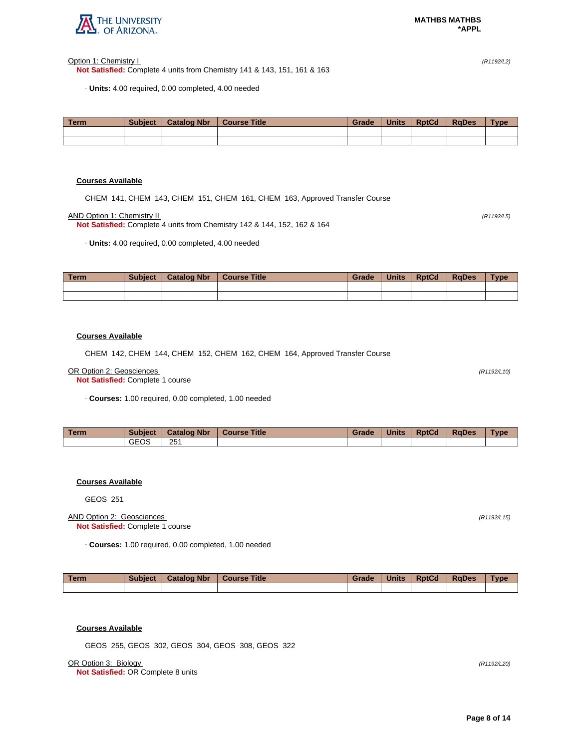

Option 1: Chemistry I (R1192/L2)

**Not Satisfied:** Complete 4 units from Chemistry 141 & 143, 151, 161 & 163

· **Units:** 4.00 required, 0.00 completed, 4.00 needed

| <b>Term</b> | <b>Subject</b> | <b>Catalog Nbr</b> | <b>Course Title</b> | <b>Grade</b> | <b>Units</b> | <b>RptCd</b> | <b>RaDes</b> | <b>Type</b> |
|-------------|----------------|--------------------|---------------------|--------------|--------------|--------------|--------------|-------------|
|             |                |                    |                     |              |              |              |              |             |
|             |                |                    |                     |              |              |              |              |             |

# **Courses Available**

CHEM 141, CHEM 143, CHEM 151, CHEM 161, CHEM 163, Approved Transfer Course

AND Option 1: Chemistry II (R1192/L5)

**Not Satisfied:** Complete 4 units from Chemistry 142 & 144, 152, 162 & 164

· **Units:** 4.00 required, 0.00 completed, 4.00 needed

| Term | <b>Subject</b> | <b>Catalog Nbr</b> | Course Title | Grade | <b>Units</b> | <b>RptCd</b> | RaDes | <b>Type</b> |
|------|----------------|--------------------|--------------|-------|--------------|--------------|-------|-------------|
|      |                |                    |              |       |              |              |       |             |
|      |                |                    |              |       |              |              |       |             |

#### **Courses Available**

CHEM 142, CHEM 144, CHEM 152, CHEM 162, CHEM 164, Approved Transfer Course

#### OR Option 2: Geosciences (R1192/L10)

**Not Satisfied:** Complete 1 course

· **Courses:** 1.00 required, 0.00 completed, 1.00 needed

| <b>Term</b> | <b>Subject</b> | <b>Catalog Nbr</b> | <b>Course Title</b> | Grade | <b>Units</b> | <b>RptCd</b> | <b>RaDes</b> | <b>Type</b> |
|-------------|----------------|--------------------|---------------------|-------|--------------|--------------|--------------|-------------|
|             | <b>GEOS</b>    | 251                |                     |       |              |              |              |             |

# **Courses Available**

GEOS 251

#### AND Option 2: Geosciences (R1192/L15) **Not Satisfied:** Complete 1 course

· **Courses:** 1.00 required, 0.00 completed, 1.00 needed

| Term | <b>Subject</b> | <b>Catalog Nbr</b> | Course Title | Grade | <b>Units</b> | <b>RptCd</b> | <b>RaDes</b> | <b>Type</b> |
|------|----------------|--------------------|--------------|-------|--------------|--------------|--------------|-------------|
|      |                |                    |              |       |              |              |              |             |

# **Courses Available**

GEOS 255, GEOS 302, GEOS 304, GEOS 308, GEOS 322

OR Option 3: Biology (R1192/L20)

**Not Satisfied:** OR Complete 8 units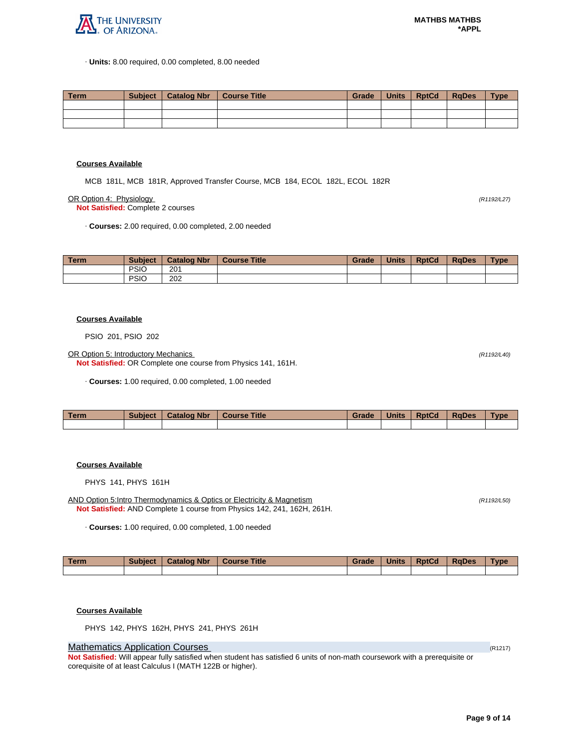

· **Units:** 8.00 required, 0.00 completed, 8.00 needed

| Term | Subiect | Catalog Nbr | Course Title | Grade | Units | <b>RptCd</b> | RaDes | <b>Type</b> |
|------|---------|-------------|--------------|-------|-------|--------------|-------|-------------|
|      |         |             |              |       |       |              |       |             |
|      |         |             |              |       |       |              |       |             |
|      |         |             |              |       |       |              |       |             |

#### **Courses Available**

MCB 181L, MCB 181R, Approved Transfer Course, MCB 184, ECOL 182L, ECOL 182R

OR Option 4: Physiology (R1192/L27)

**Not Satisfied:** Complete 2 courses

· **Courses:** 2.00 required, 0.00 completed, 2.00 needed

| Term. | <b>Subject</b> | <b>Catalog Nbr</b> | <b>Course Title</b> | Grade | <b>Units</b> | <b>RptCd</b> | <b>RaDes</b> | <b>Type</b> |
|-------|----------------|--------------------|---------------------|-------|--------------|--------------|--------------|-------------|
|       | <b>PSIC</b>    | 201                |                     |       |              |              |              |             |
|       | <b>PSIO</b>    | 202                |                     |       |              |              |              |             |

#### **Courses Available**

PSIO 201, PSIO 202

OR Option 5: Introductory Mechanics (R1192/L40)

**Not Satisfied:** OR Complete one course from Physics 141, 161H.

· **Courses:** 1.00 required, 0.00 completed, 1.00 needed

| <b>Term</b> | Subject | <b>Catalog Nbr</b> | <b>Course Title</b> | Grade | <b>Units</b> | <b>RptCd</b> | <b>RaDes</b> | Type |
|-------------|---------|--------------------|---------------------|-------|--------------|--------------|--------------|------|
|             |         |                    |                     |       |              |              |              |      |

# **Courses Available**

PHYS 141, PHYS 161H

AND Option 5:Intro Thermodynamics & Optics or Electricity & Magnetism (R1192/L50) (R1192/L50) **Not Satisfied:** AND Complete 1 course from Physics 142, 241, 162H, 261H.

· **Courses:** 1.00 required, 0.00 completed, 1.00 needed

| Term | <b>Subject</b> | <b>Catalog Nbr</b> | Course Title | Grade | <b>Units</b> | <b>RptCd</b> | <b>RaDes</b> | <b>Type</b> |
|------|----------------|--------------------|--------------|-------|--------------|--------------|--------------|-------------|
|      |                |                    |              |       |              |              |              |             |

**Courses Available**

PHYS 142, PHYS 162H, PHYS 241, PHYS 261H

# **Mathematics Application Courses (R1217)** (R1217)

**Not Satisfied:** Will appear fully satisfied when student has satisfied 6 units of non-math coursework with a prerequisite or corequisite of at least Calculus I (MATH 122B or higher).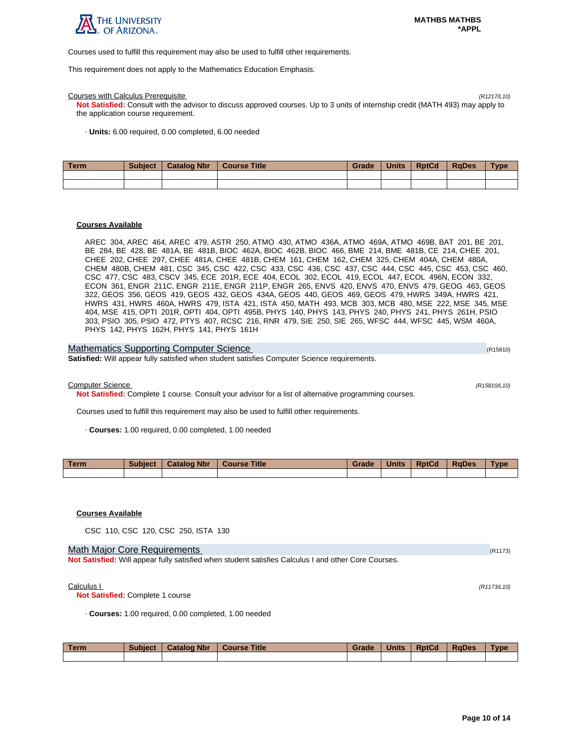

Courses used to fulfill this requirement may also be used to fulfill other requirements.

This requirement does not apply to the Mathematics Education Emphasis.

#### Courses with Calculus Prerequisite (R1217/L10)

**Not Satisfied:** Consult with the advisor to discuss approved courses. Up to 3 units of internship credit (MATH 493) may apply to the application course requirement.

· **Units:** 6.00 required, 0.00 completed, 6.00 needed

| Term | <b>Subject</b> | <b>Catalog Nbr</b> | Course Title | Grade | <b>Units</b> | <b>RptCd</b> | <b>RaDes</b> | <b>Type</b> |
|------|----------------|--------------------|--------------|-------|--------------|--------------|--------------|-------------|
|      |                |                    |              |       |              |              |              |             |
|      |                |                    |              |       |              |              |              |             |

#### **Courses Available**

AREC 304, AREC 464, AREC 479, ASTR 250, ATMO 430, ATMO 436A, ATMO 469A, ATMO 469B, BAT 201, BE 201, BE 284, BE 428, BE 481A, BE 481B, BIOC 462A, BIOC 462B, BIOC 466, BME 214, BME 481B, CE 214, CHEE 201, CHEE 202, CHEE 297, CHEE 481A, CHEE 481B, CHEM 161, CHEM 162, CHEM 325, CHEM 404A, CHEM 480A, CHEM 480B, CHEM 481, CSC 345, CSC 422, CSC 433, CSC 436, CSC 437, CSC 444, CSC 445, CSC 453, CSC 460, CSC 477, CSC 483, CSCV 345, ECE 201R, ECE 404, ECOL 302, ECOL 419, ECOL 447, ECOL 496N, ECON 332, ECON 361, ENGR 211C, ENGR 211E, ENGR 211P, ENGR 265, ENVS 420, ENVS 470, ENVS 479, GEOG 463, GEOS 322, GEOS 356, GEOS 419, GEOS 432, GEOS 434A, GEOS 440, GEOS 469, GEOS 479, HWRS 349A, HWRS 421, HWRS 431, HWRS 460A, HWRS 479, ISTA 421, ISTA 450, MATH 493, MCB 303, MCB 480, MSE 222, MSE 345, MSE 404, MSE 415, OPTI 201R, OPTI 404, OPTI 495B, PHYS 140, PHYS 143, PHYS 240, PHYS 241, PHYS 261H, PSIO 303, PSIO 305, PSIO 472, PTYS 407, RCSC 216, RNR 479, SIE 250, SIE 265, WFSC 444, WFSC 445, WSM 460A, PHYS 142, PHYS 162H, PHYS 141, PHYS 161H

| Mathematics Supporting Computer Science                                                             | (R15810) |
|-----------------------------------------------------------------------------------------------------|----------|
| <b>Satisfied:</b> Will appear fully satisfied when student satisfies Computer Science requirements. |          |

Computer Science (R15810/L10)

**Not Satisfied:** Complete 1 course. Consult your advisor for a list of alternative programming courses.

Courses used to fulfill this requirement may also be used to fulfill other requirements.

· **Courses:** 1.00 required, 0.00 completed, 1.00 needed

| Term. | <b>Subject</b> | <b>Catalog Nbr</b> | <b>Course Title</b> | Grade | <b>Units</b> | <b>RptCd</b> | <b>RaDes</b> | Type |
|-------|----------------|--------------------|---------------------|-------|--------------|--------------|--------------|------|
|       |                |                    |                     |       |              |              |              |      |

### **Courses Available**

CSC 110, CSC 120, CSC 250, ISTA 130

# Math Major Core Requirements (R1173) (R1173)

**Not Satisfied:** Will appear fully satisfied when student satisfies Calculus I and other Core Courses.

 $\text{Calculus } I$  (R1173/L10)

**Not Satisfied:** Complete 1 course

· **Courses:** 1.00 required, 0.00 completed, 1.00 needed

| Term | <b>Subject</b> | <b>Catalog Nbr</b> | <b>Course Title</b> | Grade | <b>Units</b> | <b>RptCd</b> | RaDes | <b>Type</b> |
|------|----------------|--------------------|---------------------|-------|--------------|--------------|-------|-------------|
|      |                |                    |                     |       |              |              |       |             |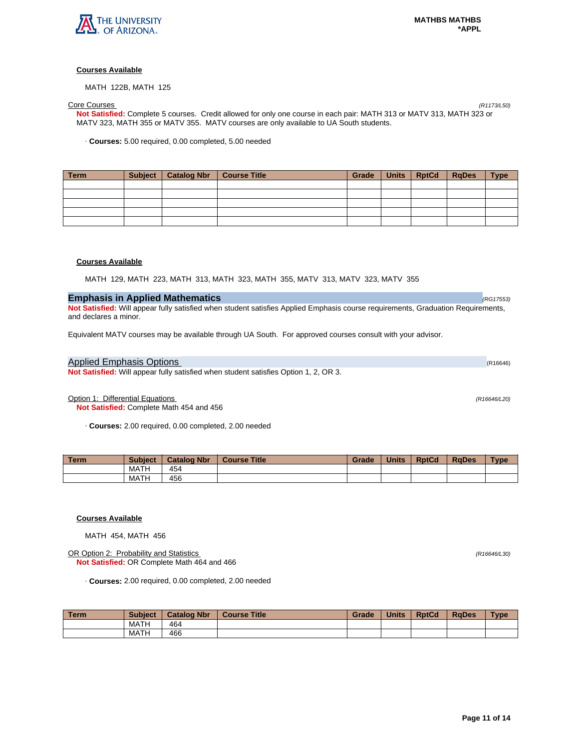

MATH 122B, MATH 125

Core Courses (R1173/L50) **Not Satisfied:** Complete 5 courses. Credit allowed for only one course in each pair: MATH 313 or MATV 313, MATH 323 or MATV 323, MATH 355 or MATV 355. MATV courses are only available to UA South students.

· **Courses:** 5.00 required, 0.00 completed, 5.00 needed

| Term | Subject   Catalog Nbr   Course Title | Grade | Units   RptCd   RgDes | <b>Type</b> |
|------|--------------------------------------|-------|-----------------------|-------------|
|      |                                      |       |                       |             |
|      |                                      |       |                       |             |
|      |                                      |       |                       |             |
|      |                                      |       |                       |             |
|      |                                      |       |                       |             |

# **Courses Available**

MATH 129, MATH 223, MATH 313, MATH 323, MATH 355, MATV 313, MATV 323, MATV 355

# **Emphasis in Applied Mathematics** (RG17553) **(RG17553)**

**Not Satisfied:** Will appear fully satisfied when student satisfies Applied Emphasis course requirements, Graduation Requirements, and declares a minor.

Equivalent MATV courses may be available through UA South. For approved courses consult with your advisor.

# Applied Emphasis Options (R16646)

**Not Satisfied:** Will appear fully satisfied when student satisfies Option 1, 2, OR 3.

Option 1: Differential Equations (R16646/L20)

**Not Satisfied:** Complete Math 454 and 456

· **Courses:** 2.00 required, 0.00 completed, 2.00 needed

| Term. | <b>Subject</b> | <b>Catalog Nbr</b> | <b>Course Title</b> | Grade | <b>Units</b> | <b>RptCd</b> | <b>RaDes</b> | Type |
|-------|----------------|--------------------|---------------------|-------|--------------|--------------|--------------|------|
|       | MATH           | 454                |                     |       |              |              |              |      |
|       | MATH           | 456                |                     |       |              |              |              |      |

## **Courses Available**

MATH 454, MATH 456

OR Option 2: Probability and Statistics (R16646/L30) **Not Satisfied:** OR Complete Math 464 and 466

· **Courses:** 2.00 required, 0.00 completed, 2.00 needed

| l Term | <b>Subject</b> | <b>Catalog Nbr</b> | <b>Course Title</b> | Grade | <b>Units</b> | <b>RptCd</b> | <b>RaDes</b> | <b>Type</b> |
|--------|----------------|--------------------|---------------------|-------|--------------|--------------|--------------|-------------|
|        | MATH           | 464                |                     |       |              |              |              |             |
|        | MATH           | 466                |                     |       |              |              |              |             |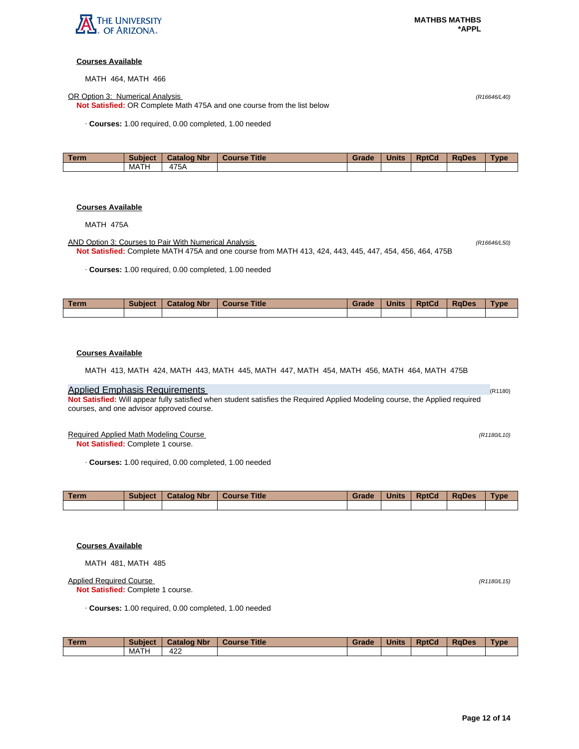

MATH 464, MATH 466

OR Option 3: Numerical Analysis (R16646/L40)

**Not Satisfied:** OR Complete Math 475A and one course from the list below

· **Courses:** 1.00 required, 0.00 completed, 1.00 needed

| Геrm | <b>Subject</b> | <b>Catalog Nbr</b> | <b>Title</b><br><b>Course</b> | Grade | <b>Units</b> | <b>RptCd</b> | <b>RaDes</b> | <b>Type</b> |
|------|----------------|--------------------|-------------------------------|-------|--------------|--------------|--------------|-------------|
|      | MATH           | 475A               |                               |       |              |              |              |             |

# **Courses Available**

MATH 475A

AND Option 3: Courses to Pair With Numerical Analysis (R16646/L50) (R16646/L50) **Not Satisfied:** Complete MATH 475A and one course from MATH 413, 424, 443, 445, 447, 454, 456, 464, 475B

· **Courses:** 1.00 required, 0.00 completed, 1.00 needed

| <b>Term</b> | <b>Subject</b> | <b>Catalog Nbr</b> | Title<br><b>Course</b> | Grade | <b>Units</b> | <b>RptCd</b> | <b>RaDes</b> | <b>Type</b> |
|-------------|----------------|--------------------|------------------------|-------|--------------|--------------|--------------|-------------|
|             |                |                    |                        |       |              |              |              |             |

## **Courses Available**

MATH 413, MATH 424, MATH 443, MATH 445, MATH 447, MATH 454, MATH 456, MATH 464, MATH 475B

# Applied Emphasis Requirements (R1180)

**Not Satisfied:** Will appear fully satisfied when student satisfies the Required Applied Modeling course, the Applied required courses, and one advisor approved course.

Required Applied Math Modeling Course (R1180/L10) (R1180/L10)

**Not Satisfied:** Complete 1 course.

· **Courses:** 1.00 required, 0.00 completed, 1.00 needed

| Term | <b>Subject</b> | <b>Catalog Nbr</b> | <b>Course Title</b> | Grade | <b>Units</b> | <b>RptCd</b> | <b>RaDes</b> | <b>Type</b> |
|------|----------------|--------------------|---------------------|-------|--------------|--------------|--------------|-------------|
|      |                |                    |                     |       |              |              |              |             |

# **Courses Available**

MATH 481, MATH 485

Applied Required Course (R1180/L15)

**Not Satisfied:** Complete 1 course.

· **Courses:** 1.00 required, 0.00 completed, 1.00 needed

| Term | <b>Subject</b> | <b>Catalog Nbr</b> | <b>Course Title</b> | Grade | <b>Units</b> | <b>RptCd</b> | <b>RaDes</b> | <b>Type</b> |
|------|----------------|--------------------|---------------------|-------|--------------|--------------|--------------|-------------|
|      | MATH           | 422                |                     |       |              |              |              |             |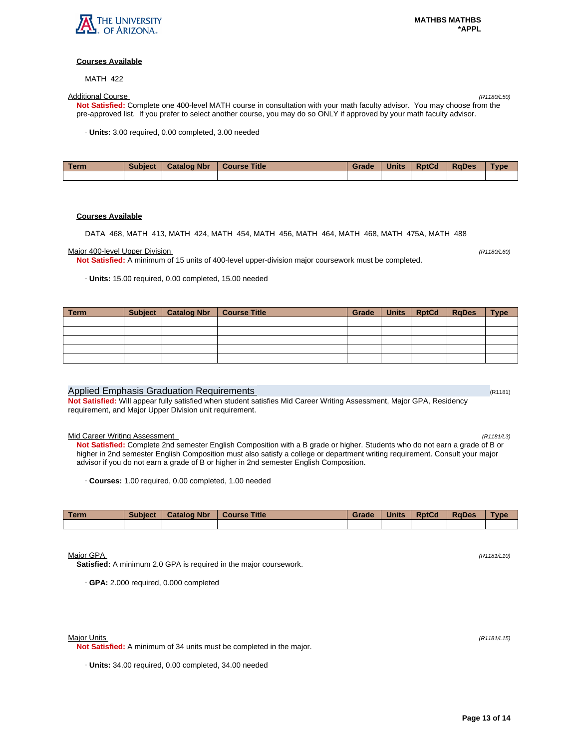

MATH 422

Additional Course (R1180/L50) **Not Satisfied:** Complete one 400-level MATH course in consultation with your math faculty advisor. You may choose from the pre-approved list. If you prefer to select another course, you may do so ONLY if approved by your math faculty advisor.

· **Units:** 3.00 required, 0.00 completed, 3.00 needed

| <b>Term</b> | <b>Subject</b> | <b>Catalog Nbr</b> | <b>Course Title</b> | Grade | <b>Units</b> | <b>RptCd</b> | <b>RaDes</b> | Type |
|-------------|----------------|--------------------|---------------------|-------|--------------|--------------|--------------|------|
|             |                |                    |                     |       |              |              |              |      |

#### **Courses Available**

DATA 468, MATH 413, MATH 424, MATH 454, MATH 456, MATH 464, MATH 468, MATH 475A, MATH 488

#### Major 400-level Upper Division (R1180/L60) (And The Upper Division of The Upper State of The Upper Division (R

**Not Satisfied:** A minimum of 15 units of 400-level upper-division major coursework must be completed.

· **Units:** 15.00 required, 0.00 completed, 15.00 needed

| Term | Subject   Catalog Nbr | <b>Course Title</b> | Grade | Units RptCd | $ $ RgDes | <b>Type</b> |
|------|-----------------------|---------------------|-------|-------------|-----------|-------------|
|      |                       |                     |       |             |           |             |
|      |                       |                     |       |             |           |             |
|      |                       |                     |       |             |           |             |
|      |                       |                     |       |             |           |             |
|      |                       |                     |       |             |           |             |

#### Applied Emphasis Graduation Requirements (R1181) Applied Emphasis Graduation Requirements

**Not Satisfied:** Will appear fully satisfied when student satisfies Mid Career Writing Assessment, Major GPA, Residency requirement, and Major Upper Division unit requirement.

#### Mid Career Writing Assessment (R1181/L3)

**Not Satisfied:** Complete 2nd semester English Composition with a B grade or higher. Students who do not earn a grade of B or higher in 2nd semester English Composition must also satisfy a college or department writing requirement. Consult your major advisor if you do not earn a grade of B or higher in 2nd semester English Composition.

· **Courses:** 1.00 required, 0.00 completed, 1.00 needed

| Term | <b>Subject</b> | <b>Catalog Nbr</b> | <b>Course Title</b> | Grade | <b>Units</b> | <b>RptCd</b> | <b>RaDes</b> | <b>Type</b> |
|------|----------------|--------------------|---------------------|-------|--------------|--------------|--------------|-------------|
|      |                |                    |                     |       |              |              |              |             |

Major GPA (R1181/L10)

**Satisfied:** A minimum 2.0 GPA is required in the major coursework.

· **GPA:** 2.000 required, 0.000 completed

**Not Satisfied:** A minimum of 34 units must be completed in the major.

· **Units:** 34.00 required, 0.00 completed, 34.00 needed